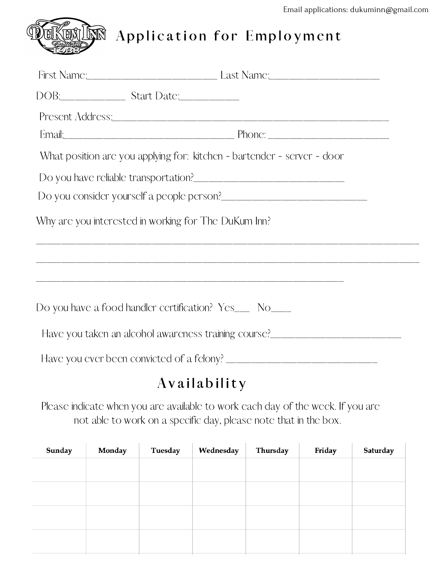

Application for Employment

| What position are you applying for: kitchen - bartender - server - door                       |  |
|-----------------------------------------------------------------------------------------------|--|
|                                                                                               |  |
| Do you consider yourself a people person?<br><u>Do you consider yourself a people person?</u> |  |
| Why are you interested in working for The DuKum Inn?                                          |  |
|                                                                                               |  |
| Do you have a food handler certification? Yes___ No____                                       |  |
| Have you taken an alcohol awareness training course?____________________________              |  |
|                                                                                               |  |
| Availability                                                                                  |  |

Please indicate when you are available to work each day of the week. If you are not able to work on a specific day, please note that in the box.

| Sunday | Monday | Tuesday | Wednesday | Thursday | Friday | Saturday |
|--------|--------|---------|-----------|----------|--------|----------|
|        |        |         |           |          |        |          |
|        |        |         |           |          |        |          |
|        |        |         |           |          |        |          |
|        |        |         |           |          |        |          |
|        |        |         |           |          |        |          |
|        |        |         |           |          |        |          |
|        |        |         |           |          |        |          |
|        |        |         |           |          |        |          |
|        |        |         |           |          |        |          |